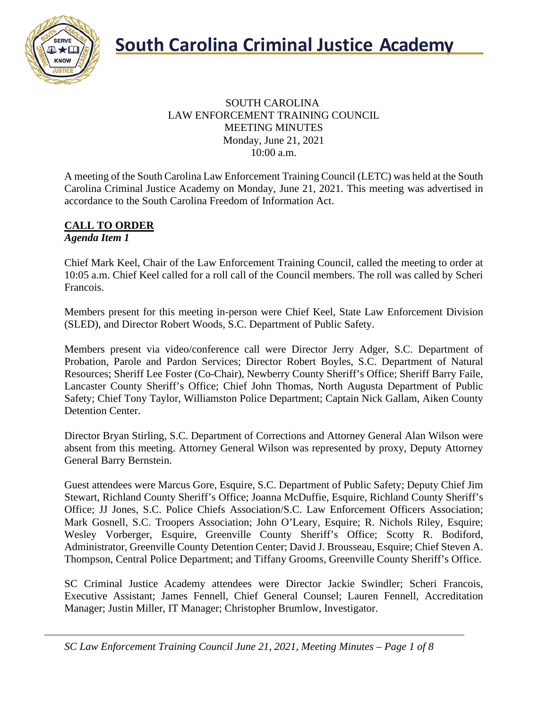

#### SOUTH CAROLINA LAW ENFORCEMENT TRAINING COUNCIL MEETING MINUTES Monday, June 21, 2021 10:00 a.m.

A meeting of the South Carolina Law Enforcement Training Council (LETC) was held at the South Carolina Criminal Justice Academy on Monday, June 21, 2021. This meeting was advertised in accordance to the South Carolina Freedom of Information Act.

#### **CALL TO ORDER** *Agenda Item 1*

Chief Mark Keel, Chair of the Law Enforcement Training Council, called the meeting to order at 10:05 a.m. Chief Keel called for a roll call of the Council members. The roll was called by Scheri Francois.

Members present for this meeting in-person were Chief Keel, State Law Enforcement Division (SLED), and Director Robert Woods, S.C. Department of Public Safety.

Members present via video/conference call were Director Jerry Adger, S.C. Department of Probation, Parole and Pardon Services; Director Robert Boyles, S.C. Department of Natural Resources; Sheriff Lee Foster (Co-Chair), Newberry County Sheriff's Office; Sheriff Barry Faile, Lancaster County Sheriff's Office; Chief John Thomas, North Augusta Department of Public Safety; Chief Tony Taylor, Williamston Police Department; Captain Nick Gallam, Aiken County Detention Center.

Director Bryan Stirling, S.C. Department of Corrections and Attorney General Alan Wilson were absent from this meeting. Attorney General Wilson was represented by proxy, Deputy Attorney General Barry Bernstein.

Guest attendees were Marcus Gore, Esquire, S.C. Department of Public Safety; Deputy Chief Jim Stewart, Richland County Sheriff's Office; Joanna McDuffie, Esquire, Richland County Sheriff's Office; JJ Jones, S.C. Police Chiefs Association/S.C. Law Enforcement Officers Association; Mark Gosnell, S.C. Troopers Association; John O'Leary, Esquire; R. Nichols Riley, Esquire; Wesley Vorberger, Esquire, Greenville County Sheriff's Office; Scotty R. Bodiford, Administrator, Greenville County Detention Center; David J. Brousseau, Esquire; Chief Steven A. Thompson, Central Police Department; and Tiffany Grooms, Greenville County Sheriff's Office.

SC Criminal Justice Academy attendees were Director Jackie Swindler; Scheri Francois, Executive Assistant; James Fennell, Chief General Counsel; Lauren Fennell, Accreditation Manager; Justin Miller, IT Manager; Christopher Brumlow, Investigator.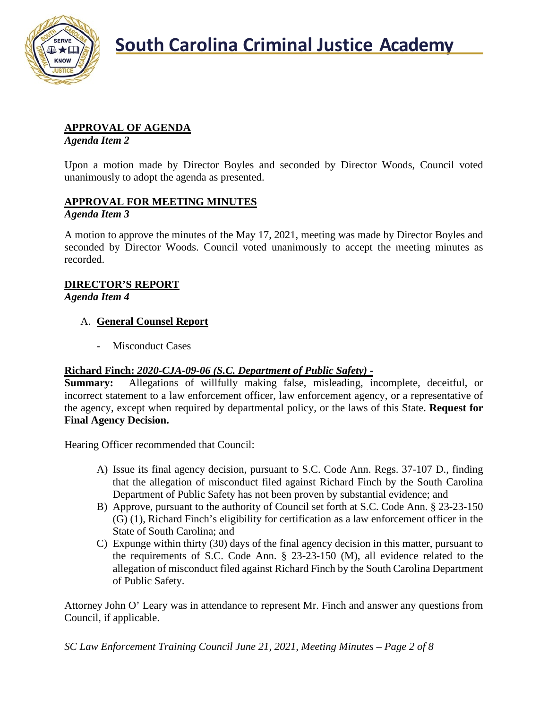

### **APPROVAL OF AGENDA**

*Agenda Item 2*

Upon a motion made by Director Boyles and seconded by Director Woods, Council voted unanimously to adopt the agenda as presented.

## **APPROVAL FOR MEETING MINUTES**

#### *Agenda Item 3*

A motion to approve the minutes of the May 17, 2021, meeting was made by Director Boyles and seconded by Director Woods. Council voted unanimously to accept the meeting minutes as recorded.

# **DIRECTOR'S REPORT**

*Agenda Item 4*

#### A. **General Counsel Report**

- Misconduct Cases

#### **Richard Finch:** *2020-CJA-09-06 (S.C. Department of Public Safety)* **-**

**Summary:** Allegations of willfully making false, misleading, incomplete, deceitful, or incorrect statement to a law enforcement officer, law enforcement agency, or a representative of the agency, except when required by departmental policy, or the laws of this State. **Request for Final Agency Decision.**

Hearing Officer recommended that Council:

- A) Issue its final agency decision, pursuant to S.C. Code Ann. Regs. 37-107 D., finding that the allegation of misconduct filed against Richard Finch by the South Carolina Department of Public Safety has not been proven by substantial evidence; and
- B) Approve, pursuant to the authority of Council set forth at S.C. Code Ann. § 23-23-150 (G) (1), Richard Finch's eligibility for certification as a law enforcement officer in the State of South Carolina; and
- C) Expunge within thirty (30) days of the final agency decision in this matter, pursuant to the requirements of S.C. Code Ann. § 23-23-150 (M), all evidence related to the allegation of misconduct filed against Richard Finch by the South Carolina Department of Public Safety.

Attorney John O' Leary was in attendance to represent Mr. Finch and answer any questions from Council, if applicable.

*SC Law Enforcement Training Council June 21, 2021, Meeting Minutes – Page 2 of 8*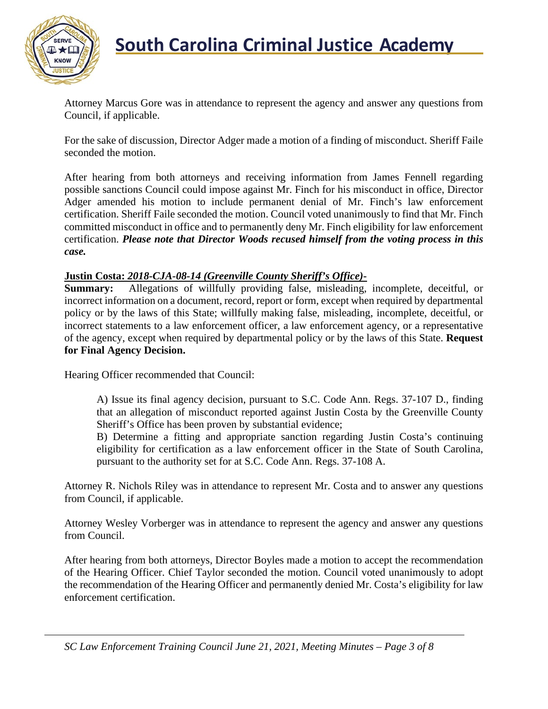

Attorney Marcus Gore was in attendance to represent the agency and answer any questions from Council, if applicable.

For the sake of discussion, Director Adger made a motion of a finding of misconduct. Sheriff Faile seconded the motion.

After hearing from both attorneys and receiving information from James Fennell regarding possible sanctions Council could impose against Mr. Finch for his misconduct in office, Director Adger amended his motion to include permanent denial of Mr. Finch's law enforcement certification. Sheriff Faile seconded the motion. Council voted unanimously to find that Mr. Finch committed misconduct in office and to permanently deny Mr. Finch eligibility for law enforcement certification. *Please note that Director Woods recused himself from the voting process in this case.*

#### **Justin Costa:** *2018-CJA-08-14 (Greenville County Sheriff's Office)***-**

**Summary:** Allegations of willfully providing false, misleading, incomplete, deceitful, or incorrect information on a document, record, report or form, except when required by departmental policy or by the laws of this State; willfully making false, misleading, incomplete, deceitful, or incorrect statements to a law enforcement officer, a law enforcement agency, or a representative of the agency, except when required by departmental policy or by the laws of this State. **Request for Final Agency Decision.**

Hearing Officer recommended that Council:

A) Issue its final agency decision, pursuant to S.C. Code Ann. Regs. 37-107 D., finding that an allegation of misconduct reported against Justin Costa by the Greenville County Sheriff's Office has been proven by substantial evidence;

B) Determine a fitting and appropriate sanction regarding Justin Costa's continuing eligibility for certification as a law enforcement officer in the State of South Carolina, pursuant to the authority set for at S.C. Code Ann. Regs. 37-108 A.

Attorney R. Nichols Riley was in attendance to represent Mr. Costa and to answer any questions from Council, if applicable.

Attorney Wesley Vorberger was in attendance to represent the agency and answer any questions from Council.

After hearing from both attorneys, Director Boyles made a motion to accept the recommendation of the Hearing Officer. Chief Taylor seconded the motion. Council voted unanimously to adopt the recommendation of the Hearing Officer and permanently denied Mr. Costa's eligibility for law enforcement certification.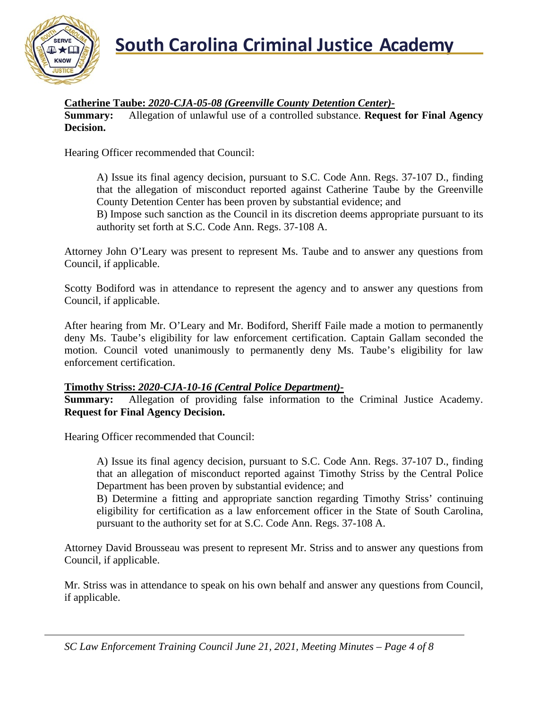

#### **Catherine Taube:** *2020-CJA-05-08 (Greenville County Detention Center)-*

**Summary:** Allegation of unlawful use of a controlled substance. **Request for Final Agency Decision.**

Hearing Officer recommended that Council:

A) Issue its final agency decision, pursuant to S.C. Code Ann. Regs. 37-107 D., finding that the allegation of misconduct reported against Catherine Taube by the Greenville County Detention Center has been proven by substantial evidence; and

B) Impose such sanction as the Council in its discretion deems appropriate pursuant to its authority set forth at S.C. Code Ann. Regs. 37-108 A.

Attorney John O'Leary was present to represent Ms. Taube and to answer any questions from Council, if applicable.

Scotty Bodiford was in attendance to represent the agency and to answer any questions from Council, if applicable.

After hearing from Mr. O'Leary and Mr. Bodiford, Sheriff Faile made a motion to permanently deny Ms. Taube's eligibility for law enforcement certification. Captain Gallam seconded the motion. Council voted unanimously to permanently deny Ms. Taube's eligibility for law enforcement certification.

#### **Timothy Striss:** *2020-CJA-10-16 (Central Police Department)***-**

**Summary:** Allegation of providing false information to the Criminal Justice Academy. **Request for Final Agency Decision.**

Hearing Officer recommended that Council:

A) Issue its final agency decision, pursuant to S.C. Code Ann. Regs. 37-107 D., finding that an allegation of misconduct reported against Timothy Striss by the Central Police Department has been proven by substantial evidence; and

B) Determine a fitting and appropriate sanction regarding Timothy Striss' continuing eligibility for certification as a law enforcement officer in the State of South Carolina, pursuant to the authority set for at S.C. Code Ann. Regs. 37-108 A.

Attorney David Brousseau was present to represent Mr. Striss and to answer any questions from Council, if applicable.

Mr. Striss was in attendance to speak on his own behalf and answer any questions from Council, if applicable.

*SC Law Enforcement Training Council June 21, 2021, Meeting Minutes – Page 4 of 8*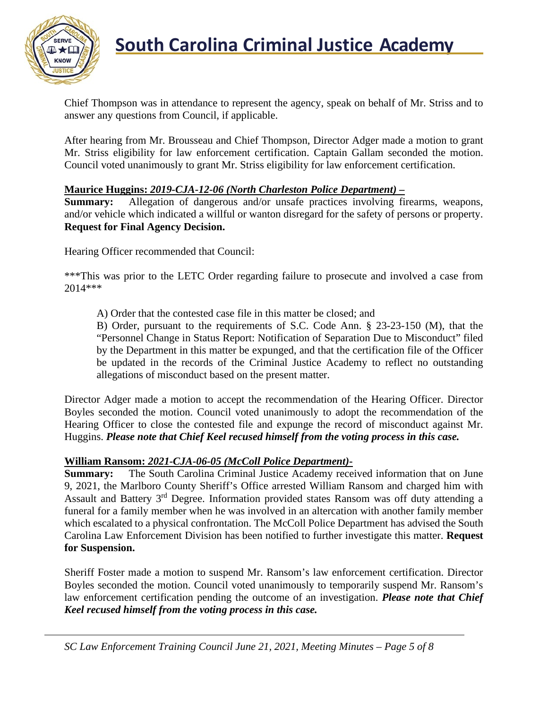

# **South Carolina Criminal Justice Academy**<br>KNOW

Chief Thompson was in attendance to represent the agency, speak on behalf of Mr. Striss and to answer any questions from Council, if applicable.

After hearing from Mr. Brousseau and Chief Thompson, Director Adger made a motion to grant Mr. Striss eligibility for law enforcement certification. Captain Gallam seconded the motion. Council voted unanimously to grant Mr. Striss eligibility for law enforcement certification.

#### **Maurice Huggins:** *2019-CJA-12-06 (North Charleston Police Department)* **–**

**Summary:** Allegation of dangerous and/or unsafe practices involving firearms, weapons, and/or vehicle which indicated a willful or wanton disregard for the safety of persons or property. **Request for Final Agency Decision.**

Hearing Officer recommended that Council:

\*\*\*This was prior to the LETC Order regarding failure to prosecute and involved a case from 2014\*\*\*

A) Order that the contested case file in this matter be closed; and

B) Order, pursuant to the requirements of S.C. Code Ann. § 23-23-150 (M), that the "Personnel Change in Status Report: Notification of Separation Due to Misconduct" filed by the Department in this matter be expunged, and that the certification file of the Officer be updated in the records of the Criminal Justice Academy to reflect no outstanding allegations of misconduct based on the present matter.

Director Adger made a motion to accept the recommendation of the Hearing Officer. Director Boyles seconded the motion. Council voted unanimously to adopt the recommendation of the Hearing Officer to close the contested file and expunge the record of misconduct against Mr. Huggins. *Please note that Chief Keel recused himself from the voting process in this case.*

#### **William Ransom:** *2021-CJA-06-05 (McColl Police Department)***-**

**Summary:** The South Carolina Criminal Justice Academy received information that on June 9, 2021, the Marlboro County Sheriff's Office arrested William Ransom and charged him with Assault and Battery 3rd Degree. Information provided states Ransom was off duty attending a funeral for a family member when he was involved in an altercation with another family member which escalated to a physical confrontation. The McColl Police Department has advised the South Carolina Law Enforcement Division has been notified to further investigate this matter. **Request for Suspension.**

Sheriff Foster made a motion to suspend Mr. Ransom's law enforcement certification. Director Boyles seconded the motion. Council voted unanimously to temporarily suspend Mr. Ransom's law enforcement certification pending the outcome of an investigation. *Please note that Chief Keel recused himself from the voting process in this case.*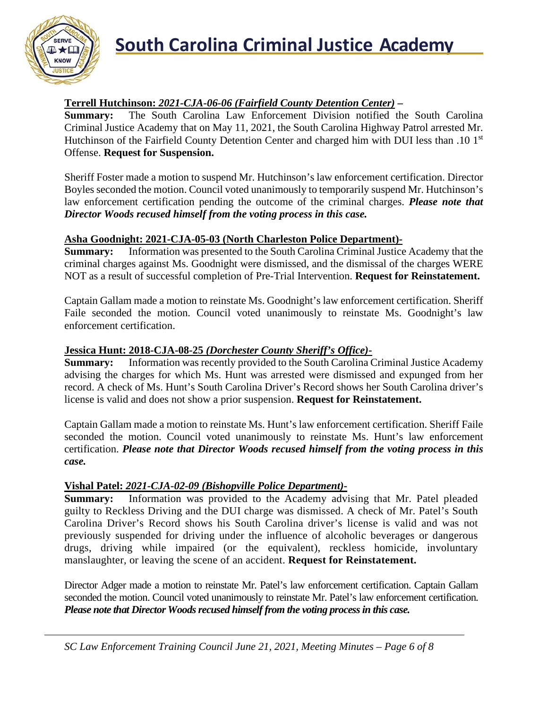

# **South Carolina Criminal Justice Academy**

#### **Terrell Hutchinson:** *2021-CJA-06-06 (Fairfield County Detention Center)* **–**

**Summary:** The South Carolina Law Enforcement Division notified the South Carolina Criminal Justice Academy that on May 11, 2021, the South Carolina Highway Patrol arrested Mr. Hutchinson of the Fairfield County Detention Center and charged him with DUI less than .10 1<sup>st</sup> Offense. **Request for Suspension.**

Sheriff Foster made a motion to suspend Mr. Hutchinson's law enforcement certification. Director Boyles seconded the motion. Council voted unanimously to temporarily suspend Mr. Hutchinson's law enforcement certification pending the outcome of the criminal charges. *Please note that Director Woods recused himself from the voting process in this case.*

#### **Asha Goodnight: 2021-CJA-05-03 (North Charleston Police Department)-**

**Summary:** Information was presented to the South Carolina Criminal Justice Academy that the criminal charges against Ms. Goodnight were dismissed, and the dismissal of the charges WERE NOT as a result of successful completion of Pre-Trial Intervention. **Request for Reinstatement.**

Captain Gallam made a motion to reinstate Ms. Goodnight's law enforcement certification. Sheriff Faile seconded the motion. Council voted unanimously to reinstate Ms. Goodnight's law enforcement certification.

#### **Jessica Hunt: 2018-CJA-08-25** *(Dorchester County Sheriff's Office)***-**

**Summary:** Information was recently provided to the South Carolina Criminal Justice Academy advising the charges for which Ms. Hunt was arrested were dismissed and expunged from her record. A check of Ms. Hunt's South Carolina Driver's Record shows her South Carolina driver's license is valid and does not show a prior suspension. **Request for Reinstatement.**

Captain Gallam made a motion to reinstate Ms. Hunt's law enforcement certification. Sheriff Faile seconded the motion. Council voted unanimously to reinstate Ms. Hunt's law enforcement certification. *Please note that Director Woods recused himself from the voting process in this case.*

#### **Vishal Patel:** *2021-CJA-02-09 (Bishopville Police Department)***-**

**Summary:** Information was provided to the Academy advising that Mr. Patel pleaded guilty to Reckless Driving and the DUI charge was dismissed. A check of Mr. Patel's South Carolina Driver's Record shows his South Carolina driver's license is valid and was not previously suspended for driving under the influence of alcoholic beverages or dangerous drugs, driving while impaired (or the equivalent), reckless homicide, involuntary manslaughter, or leaving the scene of an accident. **Request for Reinstatement.**

Director Adger made a motion to reinstate Mr. Patel's law enforcement certification. Captain Gallam seconded the motion. Council voted unanimously to reinstate Mr. Patel's law enforcement certification. *Please note that Director Woods recused himself from the voting process in this case.*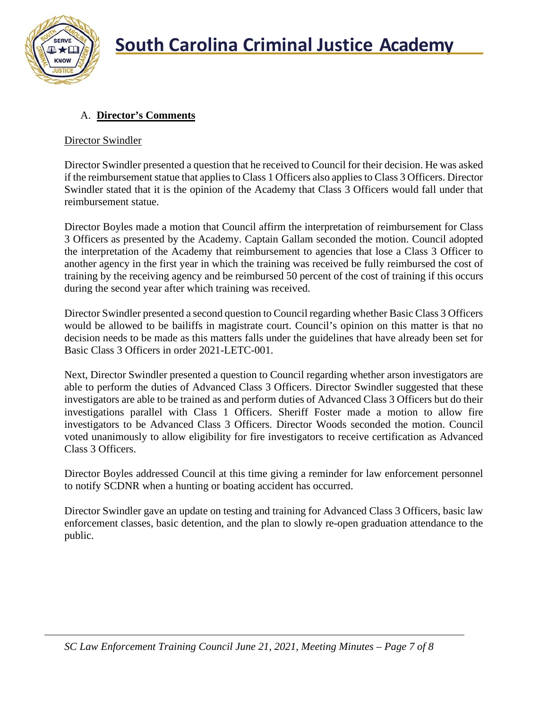

## A. **Director's Comments**

### Director Swindler

Director Swindler presented a question that he received to Council for their decision. He was asked if the reimbursement statue that applies to Class 1 Officers also applies to Class 3 Officers. Director Swindler stated that it is the opinion of the Academy that Class 3 Officers would fall under that reimbursement statue.

Director Boyles made a motion that Council affirm the interpretation of reimbursement for Class 3 Officers as presented by the Academy. Captain Gallam seconded the motion. Council adopted the interpretation of the Academy that reimbursement to agencies that lose a Class 3 Officer to another agency in the first year in which the training was received be fully reimbursed the cost of training by the receiving agency and be reimbursed 50 percent of the cost of training if this occurs during the second year after which training was received.

Director Swindler presented a second question to Council regarding whether Basic Class 3 Officers would be allowed to be bailiffs in magistrate court. Council's opinion on this matter is that no decision needs to be made as this matters falls under the guidelines that have already been set for Basic Class 3 Officers in order 2021-LETC-001.

Next, Director Swindler presented a question to Council regarding whether arson investigators are able to perform the duties of Advanced Class 3 Officers. Director Swindler suggested that these investigators are able to be trained as and perform duties of Advanced Class 3 Officers but do their investigations parallel with Class 1 Officers. Sheriff Foster made a motion to allow fire investigators to be Advanced Class 3 Officers. Director Woods seconded the motion. Council voted unanimously to allow eligibility for fire investigators to receive certification as Advanced Class 3 Officers.

Director Boyles addressed Council at this time giving a reminder for law enforcement personnel to notify SCDNR when a hunting or boating accident has occurred.

Director Swindler gave an update on testing and training for Advanced Class 3 Officers, basic law enforcement classes, basic detention, and the plan to slowly re-open graduation attendance to the public.